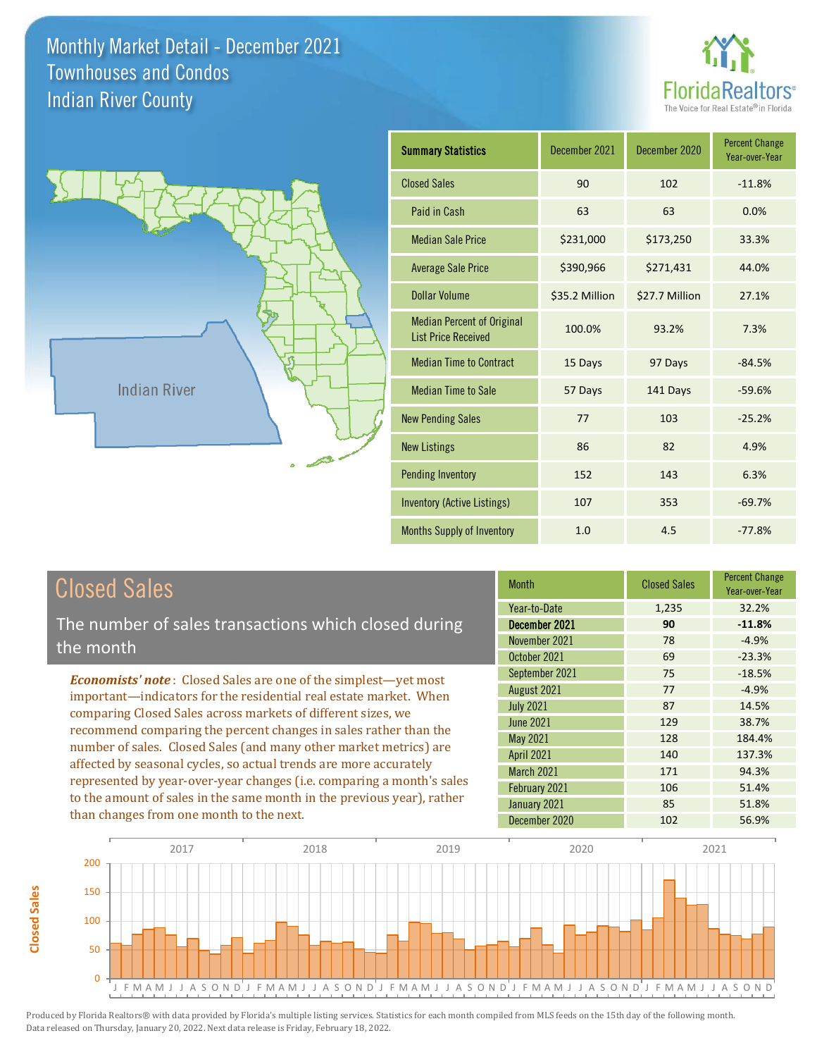



| <b>Summary Statistics</b>                                       | December 2021  | December 2020  | <b>Percent Change</b><br>Year-over-Year |
|-----------------------------------------------------------------|----------------|----------------|-----------------------------------------|
| <b>Closed Sales</b>                                             | 90             | 102            | $-11.8%$                                |
| Paid in Cash                                                    | 63             | 63             | 0.0%                                    |
| <b>Median Sale Price</b>                                        | \$231,000      | \$173,250      | 33.3%                                   |
| <b>Average Sale Price</b>                                       | \$390,966      | \$271,431      | 44.0%                                   |
| <b>Dollar Volume</b>                                            | \$35.2 Million | \$27.7 Million | 27.1%                                   |
| <b>Median Percent of Original</b><br><b>List Price Received</b> | 100.0%         | 93.2%          | 7.3%                                    |
| <b>Median Time to Contract</b>                                  | 15 Days        | 97 Days        | $-84.5%$                                |
| <b>Median Time to Sale</b>                                      | 57 Days        | 141 Days       | $-59.6%$                                |
| <b>New Pending Sales</b>                                        | 77             | 103            | $-25.2%$                                |
| <b>New Listings</b>                                             | 86             | 82             | 4.9%                                    |
| <b>Pending Inventory</b>                                        | 152            | 143            | 6.3%                                    |
| Inventory (Active Listings)                                     | 107            | 353            | $-69.7%$                                |
| Months Supply of Inventory                                      | 1.0            | 4.5            | $-77.8%$                                |

## Closed Sales

**Closed Sales**

**Closed Sales** 

The number of sales transactions which closed during the month

*Economists' note* : Closed Sales are one of the simplest—yet most important—indicators for the residential real estate market. When comparing Closed Sales across markets of different sizes, we recommend comparing the percent changes in sales rather than the number of sales. Closed Sales (and many other market metrics) are affected by seasonal cycles, so actual trends are more accurately represented by year-over-year changes (i.e. comparing a month's sales to the amount of sales in the same month in the previous year), rather than changes from one month to the next.

| <b>Month</b>      | <b>Closed Sales</b> | <b>Percent Change</b><br>Year-over-Year |
|-------------------|---------------------|-----------------------------------------|
| Year-to-Date      | 1,235               | 32.2%                                   |
| December 2021     | 90                  | $-11.8%$                                |
| November 2021     | 78                  | $-4.9%$                                 |
| October 2021      | 69                  | $-23.3%$                                |
| September 2021    | 75                  | $-18.5%$                                |
| August 2021       | 77                  | $-4.9%$                                 |
| <b>July 2021</b>  | 87                  | 14.5%                                   |
| June 2021         | 129                 | 38.7%                                   |
| <b>May 2021</b>   | 128                 | 184.4%                                  |
| <b>April 2021</b> | 140                 | 137.3%                                  |
| March 2021        | 171                 | 94.3%                                   |
| February 2021     | 106                 | 51.4%                                   |
| January 2021      | 85                  | 51.8%                                   |
| December 2020     | 102                 | 56.9%                                   |

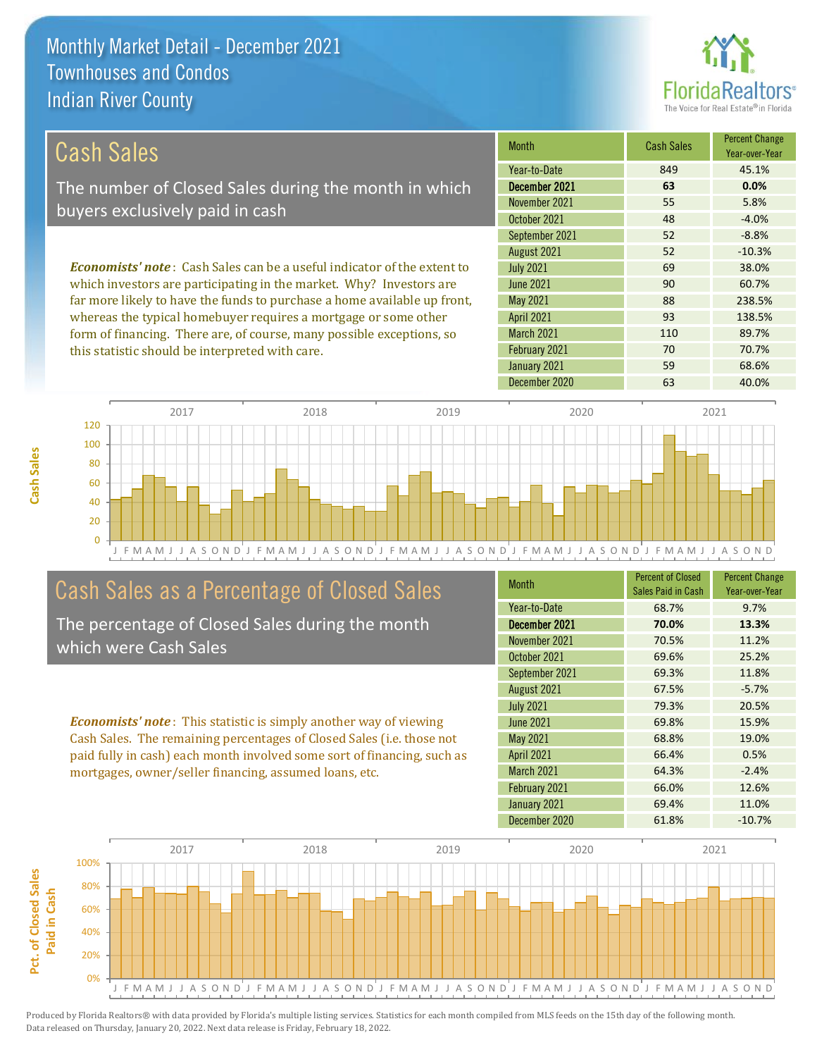

### Cash Sales

The number of Closed Sales during the month in which buyers exclusively paid in cash

*Economists' note* : Cash Sales can be a useful indicator of the extent to which investors are participating in the market. Why? Investors are far more likely to have the funds to purchase a home available up front, whereas the typical homebuyer requires a mortgage or some other form of financing. There are, of course, many possible exceptions, so this statistic should be interpreted with care.

| <b>Month</b>      | <b>Cash Sales</b> | <b>Percent Change</b><br>Year-over-Year |
|-------------------|-------------------|-----------------------------------------|
| Year-to-Date      | 849               | 45.1%                                   |
| December 2021     | 63                | 0.0%                                    |
| November 2021     | 55                | 5.8%                                    |
| October 2021      | 48                | $-4.0%$                                 |
| September 2021    | 52                | $-8.8%$                                 |
| August 2021       | 52                | $-10.3%$                                |
| <b>July 2021</b>  | 69                | 38.0%                                   |
| <b>June 2021</b>  | 90                | 60.7%                                   |
| May 2021          | 88                | 238.5%                                  |
| <b>April 2021</b> | 93                | 138.5%                                  |
| <b>March 2021</b> | 110               | 89.7%                                   |
| February 2021     | 70                | 70.7%                                   |
| January 2021      | 59                | 68.6%                                   |
| December 2020     | 63                | 40.0%                                   |



## Cash Sales as a Percentage of Closed Sales

The percentage of Closed Sales during the month which were Cash Sales

*Economists' note* : This statistic is simply another way of viewing Cash Sales. The remaining percentages of Closed Sales (i.e. those not paid fully in cash) each month involved some sort of financing, such as mortgages, owner/seller financing, assumed loans, etc.

| <b>Month</b>      | <b>Percent of Closed</b><br>Sales Paid in Cash | <b>Percent Change</b><br>Year-over-Year |
|-------------------|------------------------------------------------|-----------------------------------------|
| Year-to-Date      | 68.7%                                          | 9.7%                                    |
| December 2021     | 70.0%                                          | 13.3%                                   |
| November 2021     | 70.5%                                          | 11.2%                                   |
| October 2021      | 69.6%                                          | 25.2%                                   |
| September 2021    | 69.3%                                          | 11.8%                                   |
| August 2021       | 67.5%                                          | $-5.7%$                                 |
| <b>July 2021</b>  | 79.3%                                          | 20.5%                                   |
| <b>June 2021</b>  | 69.8%                                          | 15.9%                                   |
| May 2021          | 68.8%                                          | 19.0%                                   |
| <b>April 2021</b> | 66.4%                                          | 0.5%                                    |
| <b>March 2021</b> | 64.3%                                          | $-2.4%$                                 |
| February 2021     | 66.0%                                          | 12.6%                                   |
| January 2021      | 69.4%                                          | 11.0%                                   |
| December 2020     | 61.8%                                          | $-10.7%$                                |

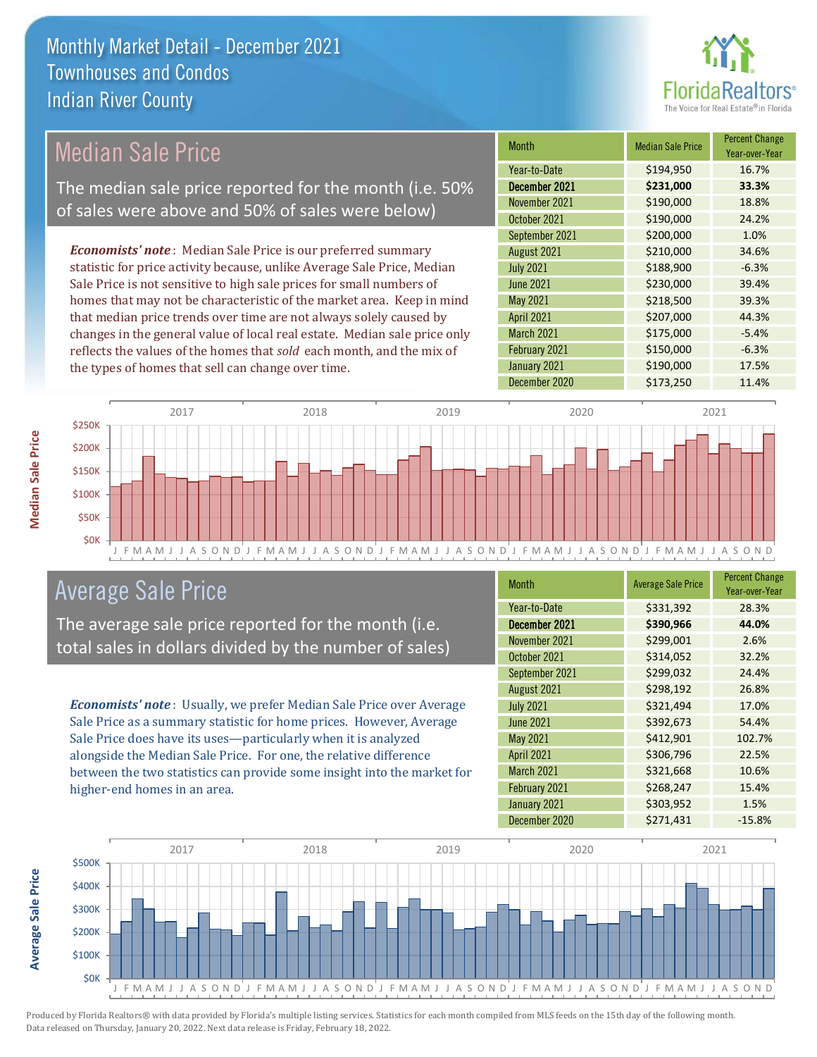

## Median Sale Price

The median sale price reported for the month (i.e. 50% of sales were above and 50% of sales were below)

*Economists' note* : Median Sale Price is our preferred summary statistic for price activity because, unlike Average Sale Price, Median Sale Price is not sensitive to high sale prices for small numbers of homes that may not be characteristic of the market area. Keep in mind that median price trends over time are not always solely caused by changes in the general value of local real estate. Median sale price only reflects the values of the homes that *sold* each month, and the mix of the types of homes that sell can change over time.

| <b>Month</b>      | <b>Median Sale Price</b> | <b>Percent Change</b><br>Year-over-Year |
|-------------------|--------------------------|-----------------------------------------|
| Year-to-Date      | \$194,950                | 16.7%                                   |
| December 2021     | \$231,000                | 33.3%                                   |
| November 2021     | \$190,000                | 18.8%                                   |
| October 2021      | \$190,000                | 24.2%                                   |
| September 2021    | \$200,000                | 1.0%                                    |
| August 2021       | \$210,000                | 34.6%                                   |
| <b>July 2021</b>  | \$188,900                | $-6.3%$                                 |
| <b>June 2021</b>  | \$230,000                | 39.4%                                   |
| May 2021          | \$218,500                | 39.3%                                   |
| <b>April 2021</b> | \$207,000                | 44.3%                                   |
| <b>March 2021</b> | \$175,000                | $-5.4%$                                 |
| February 2021     | \$150,000                | $-6.3%$                                 |
| January 2021      | \$190,000                | 17.5%                                   |
| December 2020     | \$173,250                | 11.4%                                   |



### Average Sale Price

The average sale price reported for the month (i.e. total sales in dollars divided by the number of sales)

*Economists' note* : Usually, we prefer Median Sale Price over Average Sale Price as a summary statistic for home prices. However, Average Sale Price does have its uses—particularly when it is analyzed alongside the Median Sale Price. For one, the relative difference between the two statistics can provide some insight into the market for higher-end homes in an area.

| <b>Month</b>      | <b>Average Sale Price</b> | <b>Percent Change</b><br>Year-over-Year |
|-------------------|---------------------------|-----------------------------------------|
| Year-to-Date      | \$331,392                 | 28.3%                                   |
| December 2021     | \$390,966                 | 44.0%                                   |
| November 2021     | \$299,001                 | 2.6%                                    |
| October 2021      | \$314,052                 | 32.2%                                   |
| September 2021    | \$299,032                 | 24.4%                                   |
| August 2021       | \$298,192                 | 26.8%                                   |
| <b>July 2021</b>  | \$321,494                 | 17.0%                                   |
| <b>June 2021</b>  | \$392,673                 | 54.4%                                   |
| May 2021          | \$412,901                 | 102.7%                                  |
| <b>April 2021</b> | \$306,796                 | 22.5%                                   |
| March 2021        | \$321,668                 | 10.6%                                   |
| February 2021     | \$268,247                 | 15.4%                                   |
| January 2021      | \$303,952                 | 1.5%                                    |
| December 2020     | \$271,431                 | $-15.8%$                                |



Produced by Florida Realtors® with data provided by Florida's multiple listing services. Statistics for each month compiled from MLS feeds on the 15th day of the following month. Data released on Thursday, January 20, 2022. Next data release is Friday, February 18, 2022.

**Average Sale Price**

**Average Sale Price**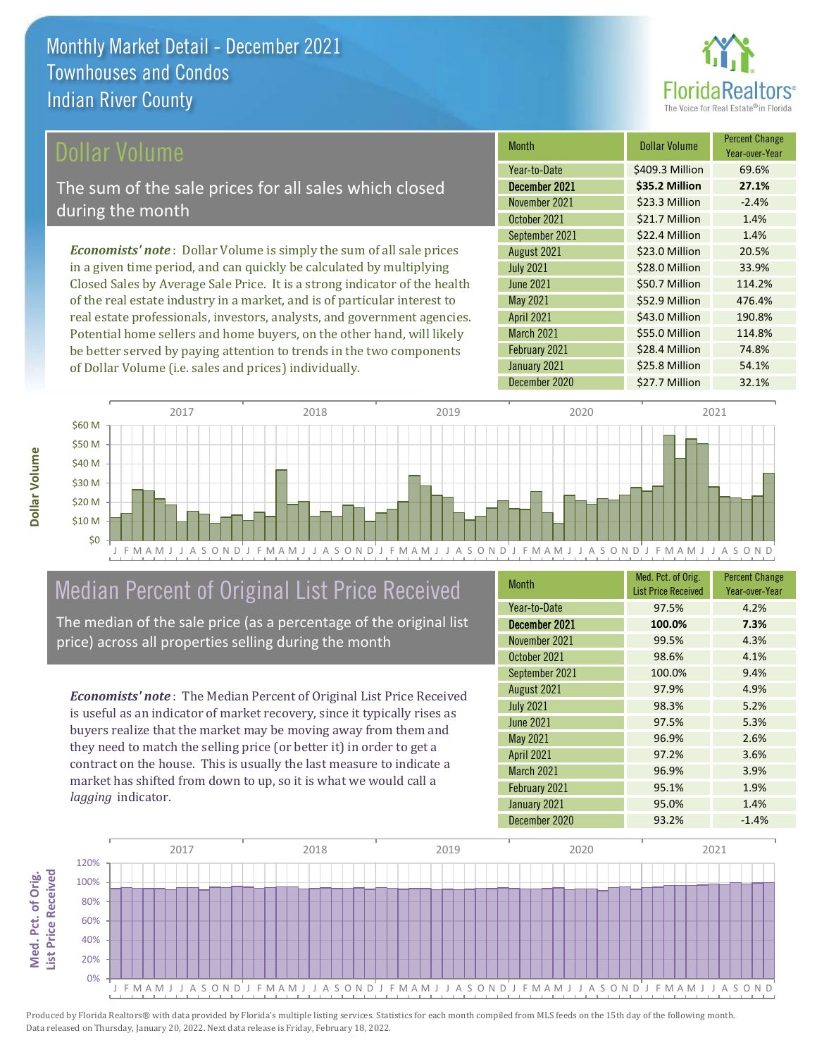

### ollar Volume

The sum of the sale prices for all sales which closed during the month

*Economists' note* : Dollar Volume is simply the sum of all sale prices in a given time period, and can quickly be calculated by multiplying Closed Sales by Average Sale Price. It is a strong indicator of the health of the real estate industry in a market, and is of particular interest to real estate professionals, investors, analysts, and government agencies. Potential home sellers and home buyers, on the other hand, will likely be better served by paying attention to trends in the two components of Dollar Volume (i.e. sales and prices) individually.

| <b>Month</b>      | <b>Dollar Volume</b> | <b>Percent Change</b><br>Year-over-Year |
|-------------------|----------------------|-----------------------------------------|
| Year-to-Date      | \$409.3 Million      | 69.6%                                   |
| December 2021     | \$35.2 Million       | 27.1%                                   |
| November 2021     | \$23.3 Million       | $-2.4%$                                 |
| October 2021      | \$21.7 Million       | 1.4%                                    |
| September 2021    | \$22.4 Million       | 1.4%                                    |
| August 2021       | \$23.0 Million       | 20.5%                                   |
| <b>July 2021</b>  | \$28.0 Million       | 33.9%                                   |
| <b>June 2021</b>  | \$50.7 Million       | 114.2%                                  |
| May 2021          | \$52.9 Million       | 476.4%                                  |
| <b>April 2021</b> | \$43.0 Million       | 190.8%                                  |
| March 2021        | \$55.0 Million       | 114.8%                                  |
| February 2021     | \$28.4 Million       | 74.8%                                   |
| January 2021      | \$25.8 Million       | 54.1%                                   |
| December 2020     | \$27.7 Million       | 32.1%                                   |



## Median Percent of Original List Price Received

The median of the sale price (as a percentage of the original list price) across all properties selling during the month

*Economists' note* : The Median Percent of Original List Price Received is useful as an indicator of market recovery, since it typically rises as buyers realize that the market may be moving away from them and they need to match the selling price (or better it) in order to get a contract on the house. This is usually the last measure to indicate a market has shifted from down to up, so it is what we would call a *lagging* indicator.

| <b>Month</b>      | Med. Pct. of Orig.<br><b>List Price Received</b> | <b>Percent Change</b><br>Year-over-Year |
|-------------------|--------------------------------------------------|-----------------------------------------|
| Year-to-Date      | 97.5%                                            | 4.2%                                    |
| December 2021     | 100.0%                                           | 7.3%                                    |
| November 2021     | 99.5%                                            | 4.3%                                    |
| October 2021      | 98.6%                                            | 4.1%                                    |
| September 2021    | 100.0%                                           | 9.4%                                    |
| August 2021       | 97.9%                                            | 4.9%                                    |
| <b>July 2021</b>  | 98.3%                                            | 5.2%                                    |
| <b>June 2021</b>  | 97.5%                                            | 5.3%                                    |
| May 2021          | 96.9%                                            | 2.6%                                    |
| <b>April 2021</b> | 97.2%                                            | 3.6%                                    |
| March 2021        | 96.9%                                            | 3.9%                                    |
| February 2021     | 95.1%                                            | 1.9%                                    |
| January 2021      | 95.0%                                            | 1.4%                                    |
| December 2020     | 93.2%                                            | $-1.4%$                                 |



Produced by Florida Realtors® with data provided by Florida's multiple listing services. Statistics for each month compiled from MLS feeds on the 15th day of the following month. Data released on Thursday, January 20, 2022. Next data release is Friday, February 18, 2022.

**Med. Pct. of Orig.**  Med. Pct. of Orig.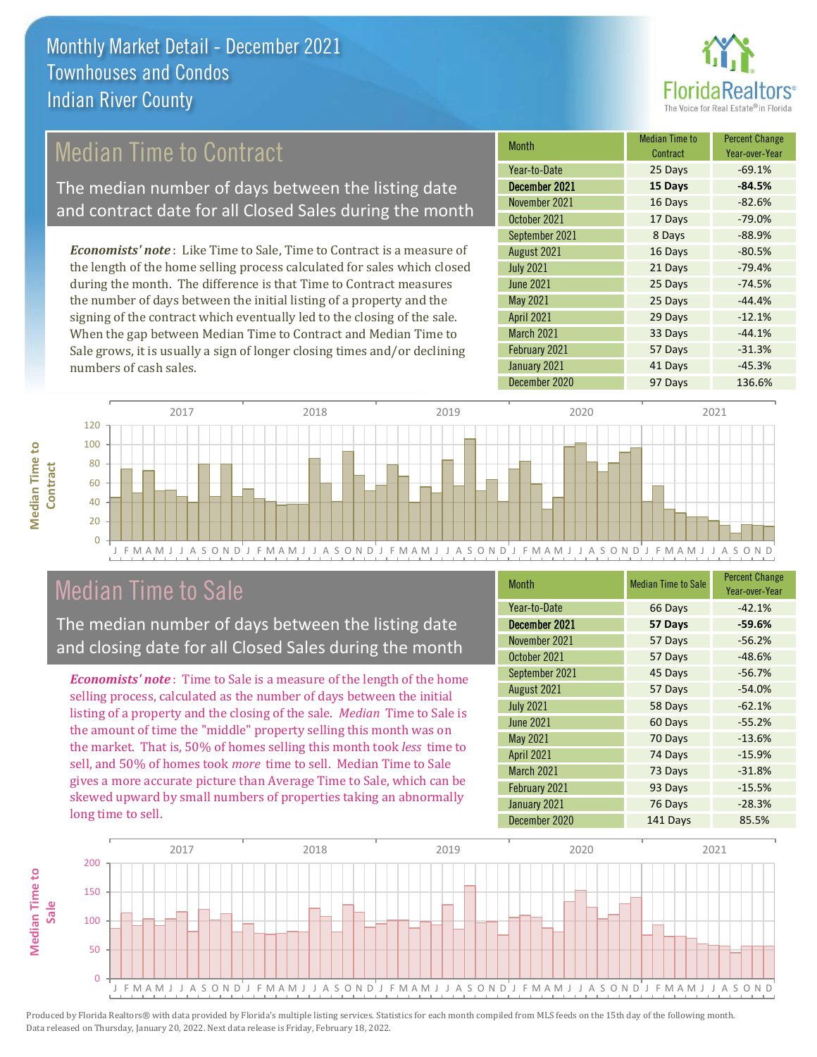

## Median Time to Contract

The median number of days between the listing date and contract date for all Closed Sales during the month

*Economists' note* : Like Time to Sale, Time to Contract is a measure of the length of the home selling process calculated for sales which closed during the month. The difference is that Time to Contract measures the number of days between the initial listing of a property and the signing of the contract which eventually led to the closing of the sale. When the gap between Median Time to Contract and Median Time to Sale grows, it is usually a sign of longer closing times and/or declining numbers of cash sales.

| <b>Month</b>      | <b>Median Time to</b><br>Contract | <b>Percent Change</b><br>Year-over-Year |
|-------------------|-----------------------------------|-----------------------------------------|
| Year-to-Date      | 25 Days                           | $-69.1%$                                |
| December 2021     | 15 Days                           | $-84.5%$                                |
| November 2021     | 16 Days                           | $-82.6%$                                |
| October 2021      | 17 Days                           | $-79.0%$                                |
| September 2021    | 8 Days                            | $-88.9%$                                |
| August 2021       | 16 Days                           | $-80.5%$                                |
| <b>July 2021</b>  | 21 Days                           | $-79.4%$                                |
| <b>June 2021</b>  | 25 Days                           | $-74.5%$                                |
| May 2021          | 25 Days                           | $-44.4%$                                |
| <b>April 2021</b> | 29 Days                           | $-12.1%$                                |
| March 2021        | 33 Days                           | $-44.1%$                                |
| February 2021     | 57 Days                           | $-31.3%$                                |
| January 2021      | 41 Days                           | $-45.3%$                                |
| December 2020     | 97 Days                           | 136.6%                                  |



### Median Time to Sale

**Median Time to** 

**Median Time to** 

The median number of days between the listing date and closing date for all Closed Sales during the month

*Economists' note* : Time to Sale is a measure of the length of the home selling process, calculated as the number of days between the initial listing of a property and the closing of the sale. *Median* Time to Sale is the amount of time the "middle" property selling this month was on the market. That is, 50% of homes selling this month took *less* time to sell, and 50% of homes took *more* time to sell. Median Time to Sale gives a more accurate picture than Average Time to Sale, which can be skewed upward by small numbers of properties taking an abnormally long time to sell.

| <b>Month</b>      | <b>Median Time to Sale</b> | <b>Percent Change</b><br>Year-over-Year |
|-------------------|----------------------------|-----------------------------------------|
| Year-to-Date      | 66 Days                    | $-42.1%$                                |
| December 2021     | 57 Days                    | $-59.6%$                                |
| November 2021     | 57 Days                    | $-56.2%$                                |
| October 2021      | 57 Days                    | $-48.6%$                                |
| September 2021    | 45 Days                    | $-56.7%$                                |
| August 2021       | 57 Days                    | $-54.0%$                                |
| <b>July 2021</b>  | 58 Days                    | $-62.1%$                                |
| <b>June 2021</b>  | 60 Days                    | $-55.2%$                                |
| May 2021          | 70 Days                    | $-13.6%$                                |
| <b>April 2021</b> | 74 Days                    | $-15.9%$                                |
| March 2021        | 73 Days                    | $-31.8%$                                |
| February 2021     | 93 Days                    | $-15.5%$                                |
| January 2021      | 76 Days                    | $-28.3%$                                |
| December 2020     | 141 Days                   | 85.5%                                   |

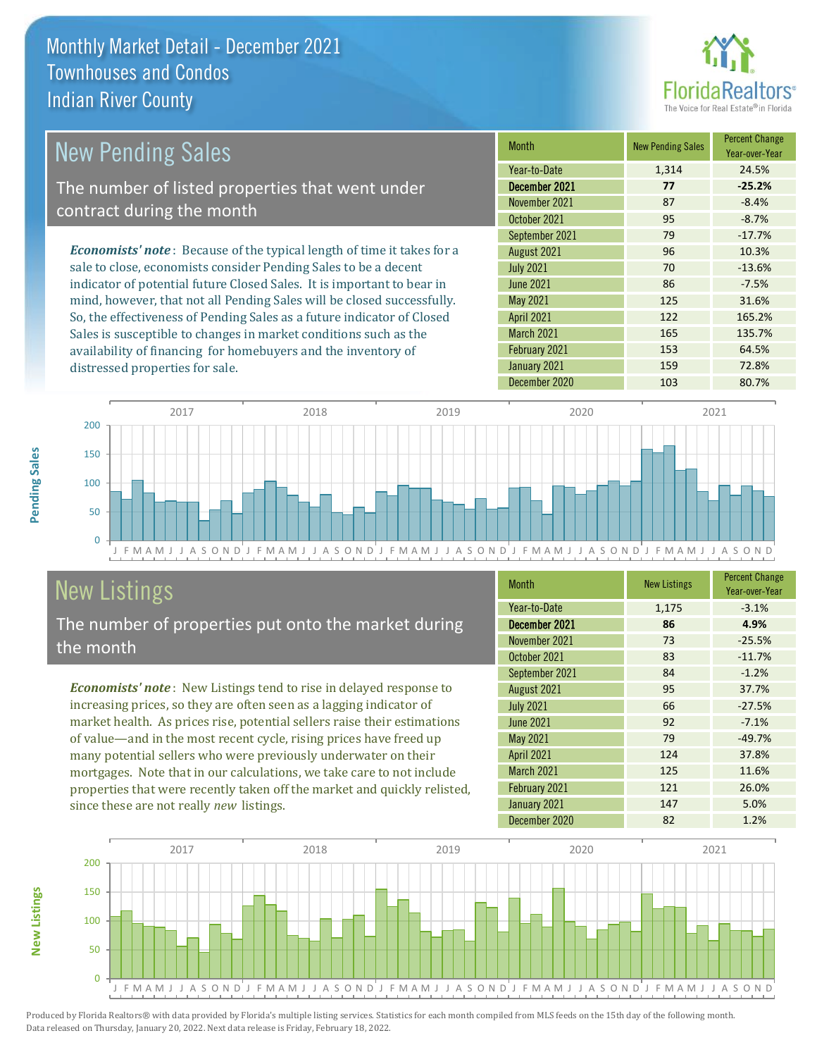

#### *Economists' note* : Because of the typical length of time it takes for a sale to close, economists consider Pending Sales to be a decent indicator of potential future Closed Sales. It is important to bear in mind, however, that not all Pending Sales will be closed successfully. So, the effectiveness of Pending Sales as a future indicator of Closed Sales is susceptible to changes in market conditions such as the Month New Pending Sales Percent Change Year-over-Year December 2021 **77 -25.2%** Year-to-Date 1,314 24.5% May 2021 125 31.6% November 2021 87 -8.4% October 2021 **95** -8.7% July 2021 **70** -13.6% June 2021 86 -7.5% September 2021 79 -17.7% August 2021 **96** 10.3% April 2021 122 165.2% March 2021 165 135.7% New Pending Sales The number of listed properties that went under contract during the month

 $\Omega$ 50 100 150 200 2017 2018 2019 2020 2021

J F M A M J J A S O N D J F M A M J J A S O N D J F M A M J J A S O N D J F M A M J J A S O N D J F M A M J J A S O N D

## New Listings

distressed properties for sale.

The number of properties put onto the market during the month

availability of financing for homebuyers and the inventory of

*Economists' note* : New Listings tend to rise in delayed response to increasing prices, so they are often seen as a lagging indicator of market health. As prices rise, potential sellers raise their estimations of value—and in the most recent cycle, rising prices have freed up many potential sellers who were previously underwater on their mortgages. Note that in our calculations, we take care to not include properties that were recently taken off the market and quickly relisted, since these are not really *new* listings.

| <b>Month</b>      | <b>New Listings</b> | <b>Percent Change</b><br>Year-over-Year |
|-------------------|---------------------|-----------------------------------------|
| Year-to-Date      | 1,175               | $-3.1%$                                 |
| December 2021     | 86                  | 4.9%                                    |
| November 2021     | 73                  | $-25.5%$                                |
| October 2021      | 83                  | $-11.7%$                                |
| September 2021    | 84                  | $-1.2%$                                 |
| August 2021       | 95                  | 37.7%                                   |
| <b>July 2021</b>  | 66                  | $-27.5%$                                |
| <b>June 2021</b>  | 92                  | $-7.1%$                                 |
| May 2021          | 79                  | $-49.7%$                                |
| <b>April 2021</b> | 124                 | 37.8%                                   |
| March 2021        | 125                 | 11.6%                                   |
| February 2021     | 121                 | 26.0%                                   |
| January 2021      | 147                 | 5.0%                                    |
| December 2020     | 82                  | 1.2%                                    |

February 2021 153 153 64.5% January 2021 159 159 72.8% December 2020 103 103 80.7%



Produced by Florida Realtors® with data provided by Florida's multiple listing services. Statistics for each month compiled from MLS feeds on the 15th day of the following month. Data released on Thursday, January 20, 2022. Next data release is Friday, February 18, 2022.

**New Listings**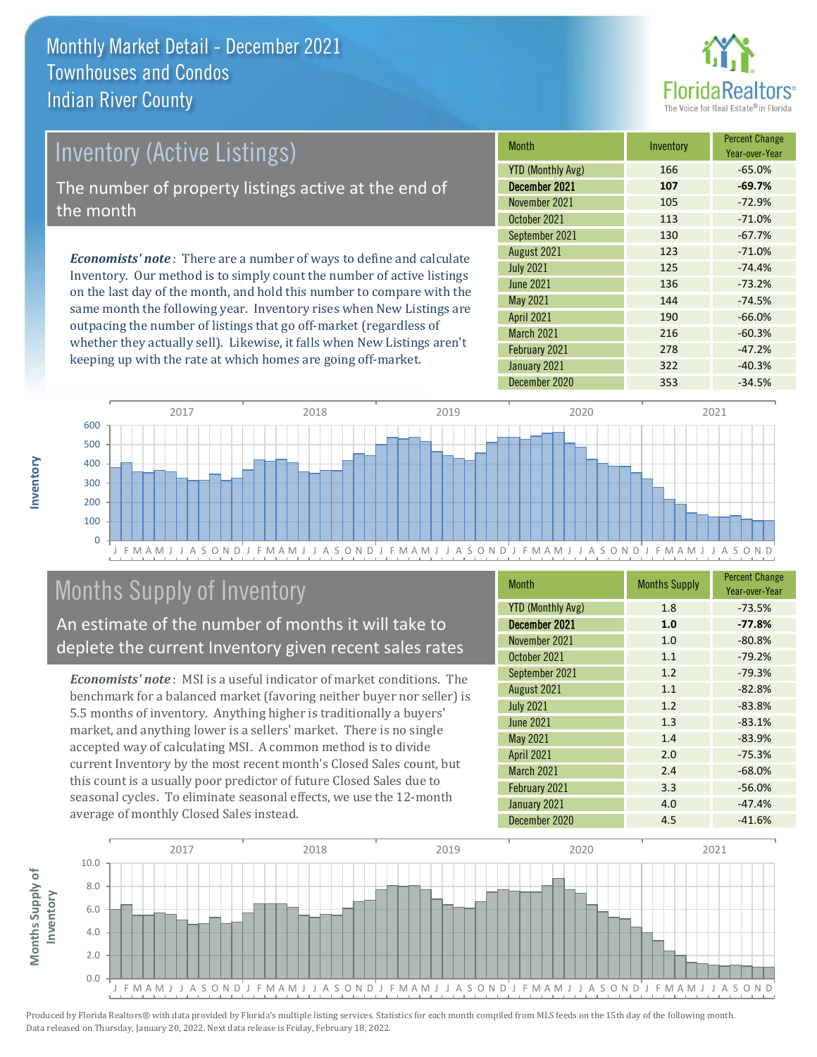

## Inventory (Active Listings)

The number of property listings active at the end of the month

*Economists' note* : There are a number of ways to define and calculate Inventory. Our method is to simply count the number of active listings on the last day of the month, and hold this number to compare with the same month the following year. Inventory rises when New Listings are outpacing the number of listings that go off-market (regardless of whether they actually sell). Likewise, it falls when New Listings aren't keeping up with the rate at which homes are going off-market.

| Month                    | Inventory | <b>Percent Change</b><br>Year-over-Year |
|--------------------------|-----------|-----------------------------------------|
| <b>YTD (Monthly Avg)</b> | 166       | $-65.0%$                                |
| December 2021            | 107       | $-69.7%$                                |
| November 2021            | 105       | $-72.9%$                                |
| October 2021             | 113       | $-71.0%$                                |
| September 2021           | 130       | $-67.7%$                                |
| August 2021              | 123       | $-71.0%$                                |
| <b>July 2021</b>         | 125       | $-74.4%$                                |
| <b>June 2021</b>         | 136       | $-73.2%$                                |
| <b>May 2021</b>          | 144       | $-74.5%$                                |
| <b>April 2021</b>        | 190       | $-66.0%$                                |
| <b>March 2021</b>        | 216       | $-60.3%$                                |
| February 2021            | 278       | $-47.2%$                                |
| January 2021             | 322       | $-40.3%$                                |
| December 2020            | 353       | $-34.5%$                                |



## Months Supply of Inventory

An estimate of the number of months it will take to deplete the current Inventory given recent sales rates

*Economists' note* : MSI is a useful indicator of market conditions. The benchmark for a balanced market (favoring neither buyer nor seller) is 5.5 months of inventory. Anything higher is traditionally a buyers' market, and anything lower is a sellers' market. There is no single accepted way of calculating MSI. A common method is to divide current Inventory by the most recent month's Closed Sales count, but this count is a usually poor predictor of future Closed Sales due to seasonal cycles. To eliminate seasonal effects, we use the 12-month average of monthly Closed Sales instead.

| <b>Month</b>             | <b>Months Supply</b> | <b>Percent Change</b><br>Year-over-Year |
|--------------------------|----------------------|-----------------------------------------|
| <b>YTD (Monthly Avg)</b> | 1.8                  | $-73.5%$                                |
| December 2021            | 1.0                  | $-77.8%$                                |
| November 2021            | 1.0                  | $-80.8%$                                |
| October 2021             | 1.1                  | $-79.2%$                                |
| September 2021           | 1.2                  | $-79.3%$                                |
| August 2021              | 1.1                  | $-82.8%$                                |
| <b>July 2021</b>         | 1.2                  | $-83.8%$                                |
| <b>June 2021</b>         | 1.3                  | $-83.1%$                                |
| May 2021                 | 1.4                  | $-83.9%$                                |
| <b>April 2021</b>        | 2.0                  | $-75.3%$                                |
| March 2021               | 2.4                  | $-68.0%$                                |
| February 2021            | 3.3                  | $-56.0%$                                |
| January 2021             | 4.0                  | $-47.4%$                                |
| December 2020            | 4.5                  | $-41.6%$                                |

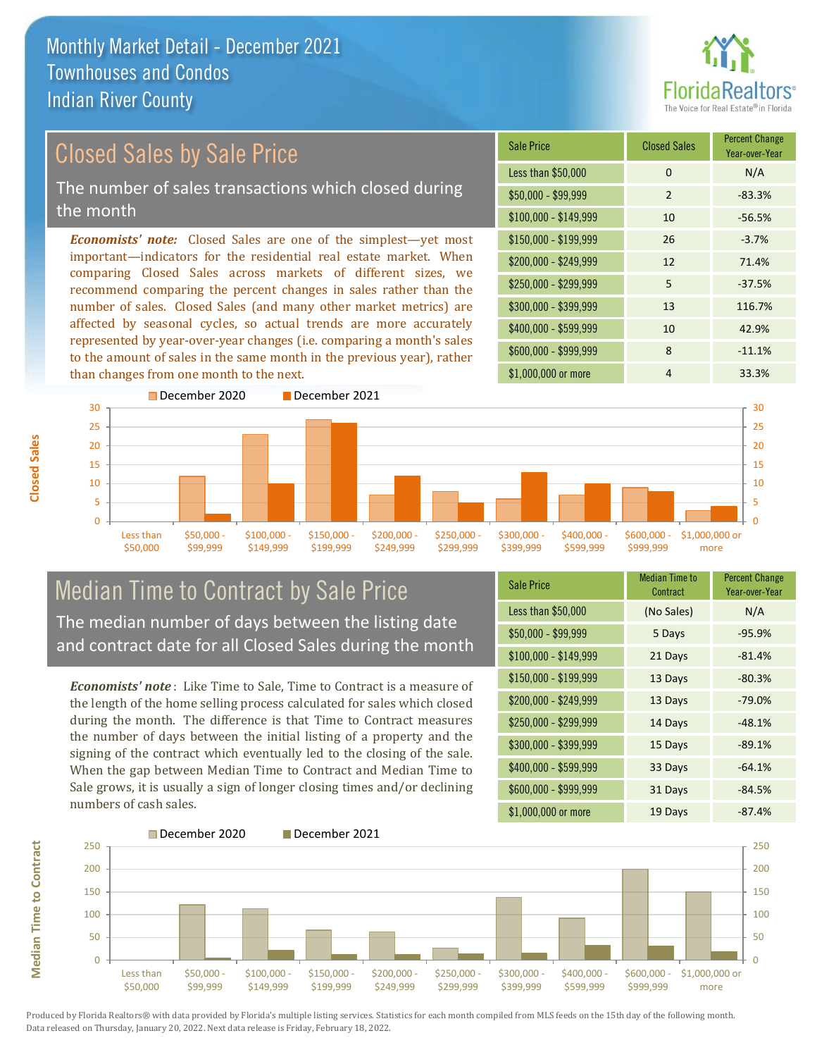

## Closed Sales by Sale Price

The number of sales transactions which closed during the month

*Economists' note:* Closed Sales are one of the simplest—yet most important—indicators for the residential real estate market. When comparing Closed Sales across markets of different sizes, we recommend comparing the percent changes in sales rather than the number of sales. Closed Sales (and many other market metrics) are affected by seasonal cycles, so actual trends are more accurately represented by year-over-year changes (i.e. comparing a month's sales to the amount of sales in the same month in the previous year), rather than changes from one month to the next.





### Median Time to Contract by Sale Price The median number of days between the listing date and contract date for all Closed Sales during the month

*Economists' note* : Like Time to Sale, Time to Contract is a measure of the length of the home selling process calculated for sales which closed during the month. The difference is that Time to Contract measures the number of days between the initial listing of a property and the signing of the contract which eventually led to the closing of the sale. When the gap between Median Time to Contract and Median Time to Sale grows, it is usually a sign of longer closing times and/or declining numbers of cash sales.

| <b>Sale Price</b>     | <b>Median Time to</b><br>Contract | <b>Percent Change</b><br>Year-over-Year |
|-----------------------|-----------------------------------|-----------------------------------------|
| Less than \$50,000    | (No Sales)                        | N/A                                     |
| $$50,000 - $99,999$   | 5 Days                            | $-95.9%$                                |
| $$100,000 - $149,999$ | 21 Days                           | $-81.4%$                                |
| \$150,000 - \$199,999 | 13 Days                           | $-80.3%$                                |
| \$200,000 - \$249,999 | 13 Days                           | $-79.0%$                                |
| \$250,000 - \$299,999 | 14 Days                           | $-48.1%$                                |
| \$300,000 - \$399,999 | 15 Days                           | $-89.1%$                                |
| \$400,000 - \$599,999 | 33 Days                           | $-64.1%$                                |
| \$600,000 - \$999,999 | 31 Days                           | $-84.5%$                                |
| \$1,000,000 or more   | 19 Days                           | $-87.4%$                                |

![](_page_7_Figure_10.jpeg)

Produced by Florida Realtors® with data provided by Florida's multiple listing services. Statistics for each month compiled from MLS feeds on the 15th day of the following month. Data released on Thursday, January 20, 2022. Next data release is Friday, February 18, 2022.

**Median Time to Contract**

**Median Time to Contract**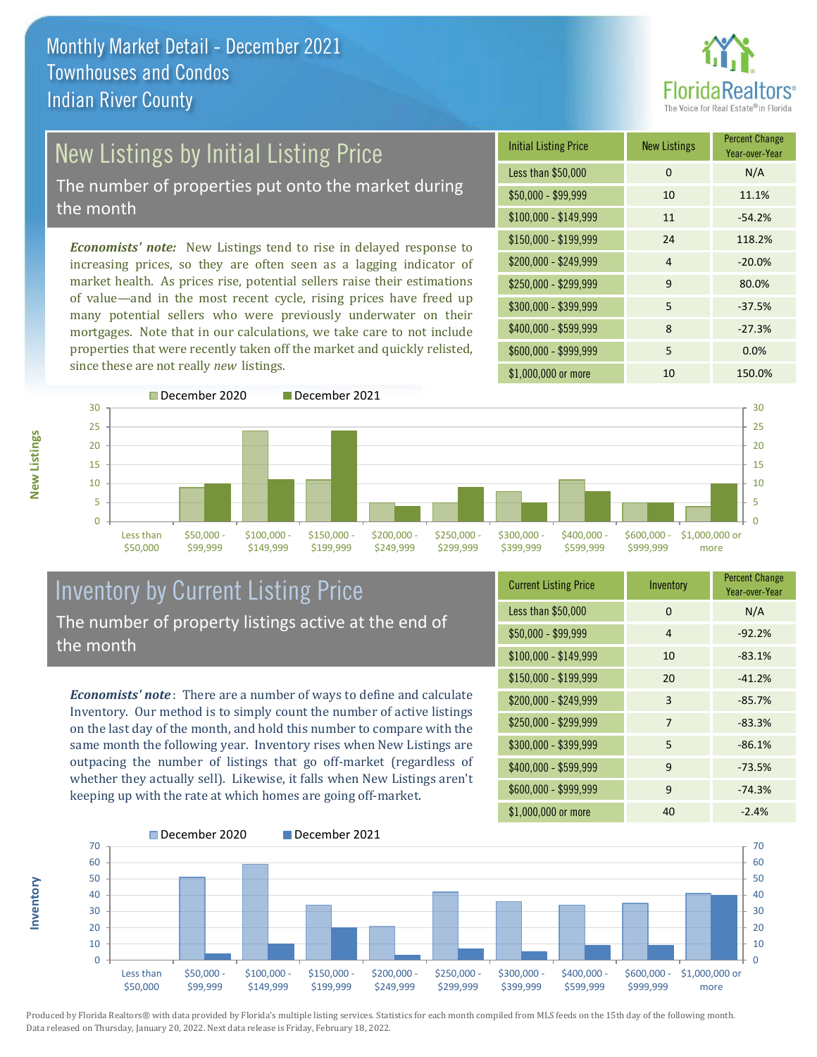![](_page_8_Picture_1.jpeg)

# New Listings by Initial Listing Price

The number of properties put onto the market during the month

*Economists' note:* New Listings tend to rise in delayed response to increasing prices, so they are often seen as a lagging indicator of market health. As prices rise, potential sellers raise their estimations of value—and in the most recent cycle, rising prices have freed up many potential sellers who were previously underwater on their mortgages. Note that in our calculations, we take care to not include properties that were recently taken off the market and quickly relisted, since these are not really *new* listings.

![](_page_8_Picture_5.jpeg)

![](_page_8_Figure_6.jpeg)

### Inventory by Current Listing Price The number of property listings active at the end of the month

*Economists' note* : There are a number of ways to define and calculate Inventory. Our method is to simply count the number of active listings on the last day of the month, and hold this number to compare with the same month the following year. Inventory rises when New Listings are outpacing the number of listings that go off-market (regardless of whether they actually sell). Likewise, it falls when New Listings aren't keeping up with the rate at which homes are going off-market.

| <b>Current Listing Price</b> | Inventory | <b>Percent Change</b><br>Year-over-Year |
|------------------------------|-----------|-----------------------------------------|
| Less than \$50,000           | $\Omega$  | N/A                                     |
| $$50,000 - $99,999$          | 4         | $-92.2%$                                |
| $$100,000 - $149,999$        | 10        | $-83.1%$                                |
| $$150,000 - $199,999$        | 20        | $-41.2%$                                |
| \$200,000 - \$249,999        | 3         | $-85.7%$                                |
| \$250,000 - \$299,999        | 7         | $-83.3%$                                |
| \$300,000 - \$399,999        | 5         | $-86.1%$                                |
| \$400,000 - \$599,999        | 9         | $-73.5%$                                |
| \$600,000 - \$999,999        | 9         | $-74.3%$                                |
| \$1,000,000 or more          | 40        | $-2.4%$                                 |

![](_page_8_Figure_10.jpeg)

Produced by Florida Realtors® with data provided by Florida's multiple listing services. Statistics for each month compiled from MLS feeds on the 15th day of the following month. Data released on Thursday, January 20, 2022. Next data release is Friday, February 18, 2022.

**Inventory**